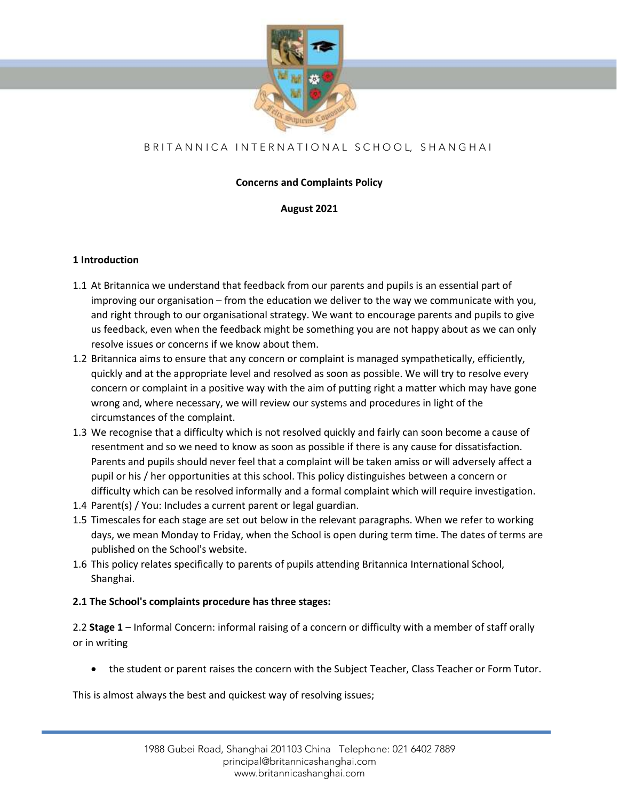

# B R I T A N N I C A I N T E R N A T I O N A L S C H O O L, S H A N G H A I O H A N

# **Concerns and Complaints Policy**

# **August 2021**

# **1 Introduction**

- 1.1 At Britannica we understand that feedback from our parents and pupils is an essential part of improving our organisation – from the education we deliver to the way we communicate with you, and right through to our organisational strategy. We want to encourage parents and pupils to give us feedback, even when the feedback might be something you are not happy about as we can only resolve issues or concerns if we know about them.
- 1.2 Britannica aims to ensure that any concern or complaint is managed sympathetically, efficiently, quickly and at the appropriate level and resolved as soon as possible. We will try to resolve every concern or complaint in a positive way with the aim of putting right a matter which may have gone wrong and, where necessary, we will review our systems and procedures in light of the circumstances of the complaint.
- 1.3 We recognise that a difficulty which is not resolved quickly and fairly can soon become a cause of resentment and so we need to know as soon as possible if there is any cause for dissatisfaction. Parents and pupils should never feel that a complaint will be taken amiss or will adversely affect a pupil or his / her opportunities at this school. This policy distinguishes between a concern or difficulty which can be resolved informally and a formal complaint which will require investigation.
- 1.4 Parent(s) / You: Includes a current parent or legal guardian.
- 1.5 Timescales for each stage are set out below in the relevant paragraphs. When we refer to working days, we mean Monday to Friday, when the School is open during term time. The dates of terms are published on the School's website.
- 1.6 This policy relates specifically to parents of pupils attending Britannica International School, Shanghai.

# **2.1 The School's complaints procedure has three stages:**

2.2 **Stage 1** – Informal Concern: informal raising of a concern or difficulty with a member of staff orally or in writing

• the student or parent raises the concern with the Subject Teacher, Class Teacher or Form Tutor.

This is almost always the best and quickest way of resolving issues;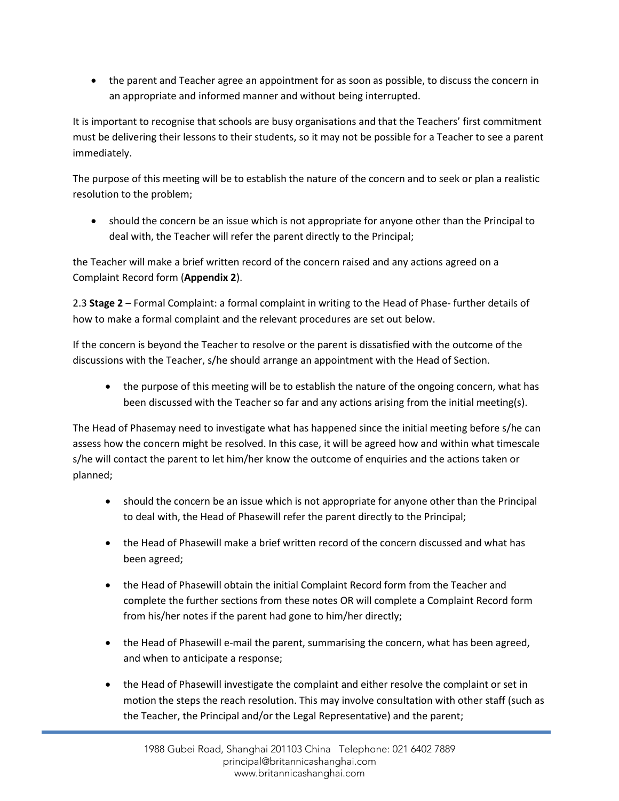• the parent and Teacher agree an appointment for as soon as possible, to discuss the concern in an appropriate and informed manner and without being interrupted.

It is important to recognise that schools are busy organisations and that the Teachers' first commitment must be delivering their lessons to their students, so it may not be possible for a Teacher to see a parent immediately.

The purpose of this meeting will be to establish the nature of the concern and to seek or plan a realistic resolution to the problem;

• should the concern be an issue which is not appropriate for anyone other than the Principal to deal with, the Teacher will refer the parent directly to the Principal;

the Teacher will make a brief written record of the concern raised and any actions agreed on a Complaint Record form (**Appendix 2**).

2.3 **Stage 2** – Formal Complaint: a formal complaint in writing to the Head of Phase- further details of how to make a formal complaint and the relevant procedures are set out below.

If the concern is beyond the Teacher to resolve or the parent is dissatisfied with the outcome of the discussions with the Teacher, s/he should arrange an appointment with the Head of Section.

• the purpose of this meeting will be to establish the nature of the ongoing concern, what has been discussed with the Teacher so far and any actions arising from the initial meeting(s).

The Head of Phasemay need to investigate what has happened since the initial meeting before s/he can assess how the concern might be resolved. In this case, it will be agreed how and within what timescale s/he will contact the parent to let him/her know the outcome of enquiries and the actions taken or planned;

- should the concern be an issue which is not appropriate for anyone other than the Principal to deal with, the Head of Phasewill refer the parent directly to the Principal;
- the Head of Phasewill make a brief written record of the concern discussed and what has been agreed;
- the Head of Phasewill obtain the initial Complaint Record form from the Teacher and complete the further sections from these notes OR will complete a Complaint Record form from his/her notes if the parent had gone to him/her directly;
- the Head of Phasewill e-mail the parent, summarising the concern, what has been agreed, and when to anticipate a response;
- the Head of Phasewill investigate the complaint and either resolve the complaint or set in motion the steps the reach resolution. This may involve consultation with other staff (such as the Teacher, the Principal and/or the Legal Representative) and the parent;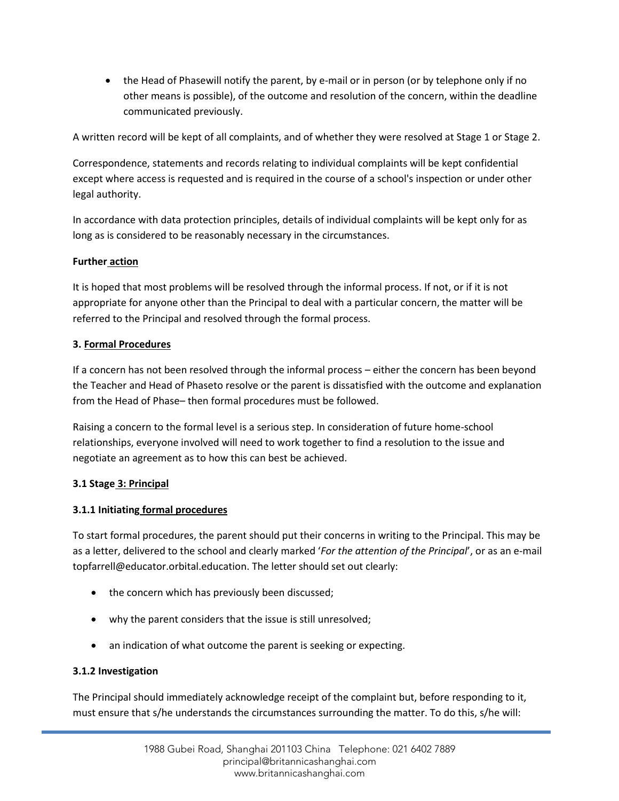• the Head of Phasewill notify the parent, by e-mail or in person (or by telephone only if no other means is possible), of the outcome and resolution of the concern, within the deadline communicated previously.

A written record will be kept of all complaints, and of whether they were resolved at Stage 1 or Stage 2.

Correspondence, statements and records relating to individual complaints will be kept confidential except where access is requested and is required in the course of a school's inspection or under other legal authority.

In accordance with data protection principles, details of individual complaints will be kept only for as long as is considered to be reasonably necessary in the circumstances.

# **Further action**

It is hoped that most problems will be resolved through the informal process. If not, or if it is not appropriate for anyone other than the Principal to deal with a particular concern, the matter will be referred to the Principal and resolved through the formal process.

# **3. Formal Procedures**

If a concern has not been resolved through the informal process – either the concern has been beyond the Teacher and Head of Phaseto resolve or the parent is dissatisfied with the outcome and explanation from the Head of Phase– then formal procedures must be followed.

Raising a concern to the formal level is a serious step. In consideration of future home-school relationships, everyone involved will need to work together to find a resolution to the issue and negotiate an agreement as to how this can best be achieved.

# **3.1 Stage 3: Principal**

# **3.1.1 Initiating formal procedures**

To start formal procedures, the parent should put their concerns in writing to the Principal. This may be as a letter, delivered to the school and clearly marked '*For the attention of the Principal*', or as an e-mail topfarrell@educator.orbital.education. The letter should set out clearly:

- the concern which has previously been discussed;
- why the parent considers that the issue is still unresolved;
- an indication of what outcome the parent is seeking or expecting.

# **3.1.2 Investigation**

The Principal should immediately acknowledge receipt of the complaint but, before responding to it, must ensure that s/he understands the circumstances surrounding the matter. To do this, s/he will: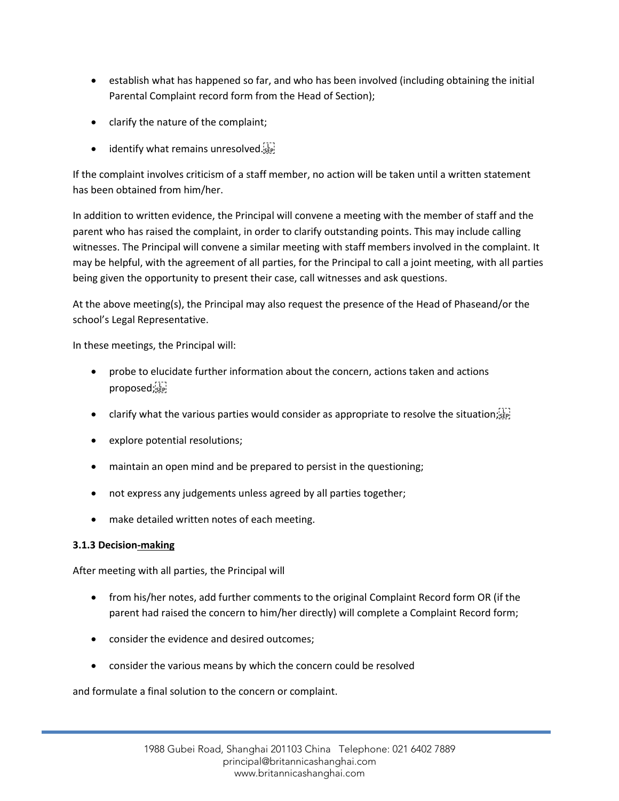- establish what has happened so far, and who has been involved (including obtaining the initial Parental Complaint record form from the Head of Section);
- clarify the nature of the complaint;
- $\bullet$  identify what remains unresolved.

If the complaint involves criticism of a staff member, no action will be taken until a written statement has been obtained from him/her.

In addition to written evidence, the Principal will convene a meeting with the member of staff and the parent who has raised the complaint, in order to clarify outstanding points. This may include calling witnesses. The Principal will convene a similar meeting with staff members involved in the complaint. It may be helpful, with the agreement of all parties, for the Principal to call a joint meeting, with all parties being given the opportunity to present their case, call witnesses and ask questions.

At the above meeting(s), the Principal may also request the presence of the Head of Phaseand/or the school's Legal Representative.

In these meetings, the Principal will:

- probe to elucidate further information about the concern, actions taken and actions proposed;
- clarify what the various parties would consider as appropriate to resolve the situation;
- explore potential resolutions;
- maintain an open mind and be prepared to persist in the questioning;
- not express any judgements unless agreed by all parties together;
- make detailed written notes of each meeting.

# **3.1.3 Decision-making**

After meeting with all parties, the Principal will

- from his/her notes, add further comments to the original Complaint Record form OR (if the parent had raised the concern to him/her directly) will complete a Complaint Record form;
- consider the evidence and desired outcomes;
- consider the various means by which the concern could be resolved

and formulate a final solution to the concern or complaint.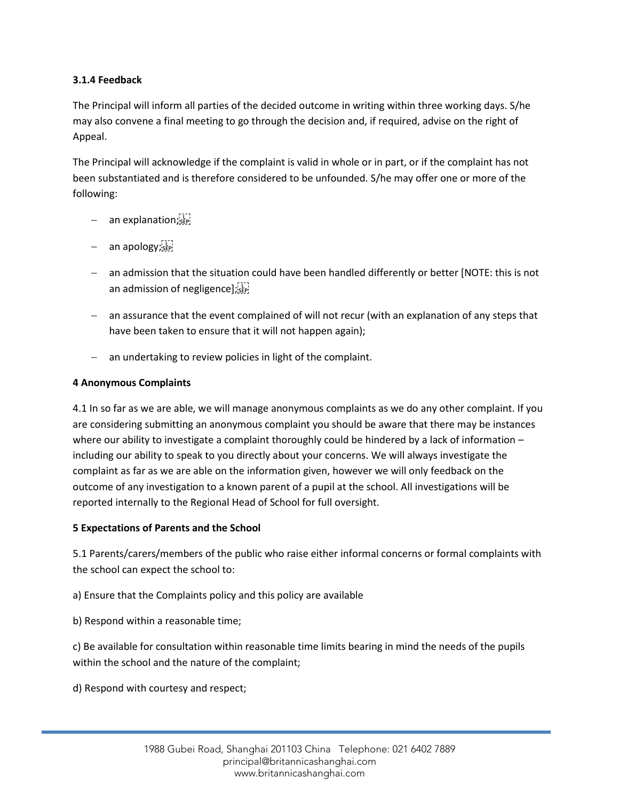# **3.1.4 Feedback**

The Principal will inform all parties of the decided outcome in writing within three working days. S/he may also convene a final meeting to go through the decision and, if required, advise on the right of Appeal.

The Principal will acknowledge if the complaint is valid in whole or in part, or if the complaint has not been substantiated and is therefore considered to be unfounded. S/he may offer one or more of the following:

- an explanation;
- − an apology;
- − an admission that the situation could have been handled differently or better [NOTE: this is not an admission of negligence];[11]
- − an assurance that the event complained of will not recur (with an explanation of any steps that have been taken to ensure that it will not happen again);
- − an undertaking to review policies in light of the complaint.

#### **4 Anonymous Complaints**

4.1 In so far as we are able, we will manage anonymous complaints as we do any other complaint. If you are considering submitting an anonymous complaint you should be aware that there may be instances where our ability to investigate a complaint thoroughly could be hindered by a lack of information – including our ability to speak to you directly about your concerns. We will always investigate the complaint as far as we are able on the information given, however we will only feedback on the outcome of any investigation to a known parent of a pupil at the school. All investigations will be reported internally to the Regional Head of School for full oversight.

#### **5 Expectations of Parents and the School**

5.1 Parents/carers/members of the public who raise either informal concerns or formal complaints with the school can expect the school to:

a) Ensure that the Complaints policy and this policy are available

b) Respond within a reasonable time;

c) Be available for consultation within reasonable time limits bearing in mind the needs of the pupils within the school and the nature of the complaint;

d) Respond with courtesy and respect;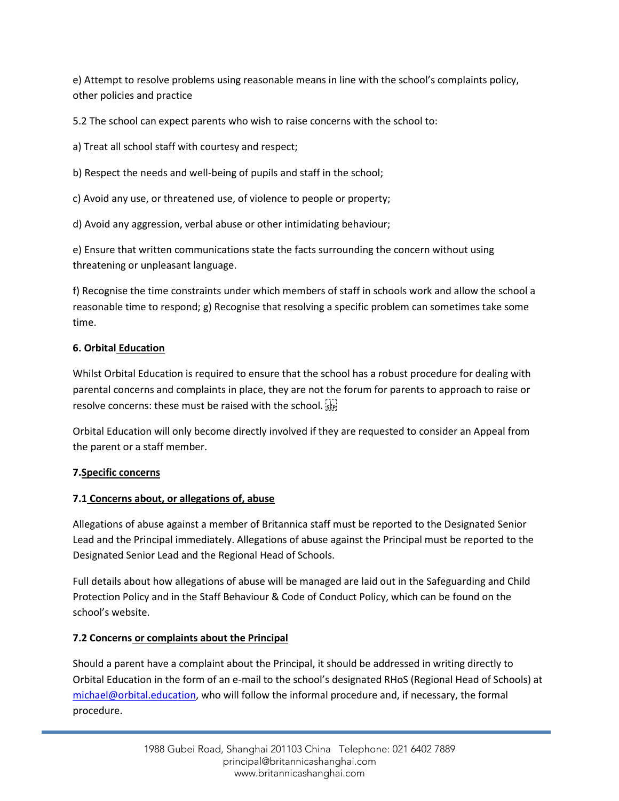e) Attempt to resolve problems using reasonable means in line with the school's complaints policy, other policies and practice

5.2 The school can expect parents who wish to raise concerns with the school to:

a) Treat all school staff with courtesy and respect;

b) Respect the needs and well-being of pupils and staff in the school;

c) Avoid any use, or threatened use, of violence to people or property;

d) Avoid any aggression, verbal abuse or other intimidating behaviour;

e) Ensure that written communications state the facts surrounding the concern without using threatening or unpleasant language.

f) Recognise the time constraints under which members of staff in schools work and allow the school a reasonable time to respond; g) Recognise that resolving a specific problem can sometimes take some time.

# **6. Orbital Education**

Whilst Orbital Education is required to ensure that the school has a robust procedure for dealing with parental concerns and complaints in place, they are not the forum for parents to approach to raise or resolve concerns: these must be raised with the school.  $\frac{1}{2}$ 

Orbital Education will only become directly involved if they are requested to consider an Appeal from the parent or a staff member.

# **7.Specific concerns**

# **7.1 Concerns about, or allegations of, abuse**

Allegations of abuse against a member of Britannica staff must be reported to the Designated Senior Lead and the Principal immediately. Allegations of abuse against the Principal must be reported to the Designated Senior Lead and the Regional Head of Schools.

Full details about how allegations of abuse will be managed are laid out in the Safeguarding and Child Protection Policy and in the Staff Behaviour & Code of Conduct Policy, which can be found on the school's website.

# **7.2 Concerns or complaints about the Principal**

Should a parent have a complaint about the Principal, it should be addressed in writing directly to Orbital Education in the form of an e-mail to the school's designated RHoS (Regional Head of Schools) at [michael@orbital.education,](mailto:michael@orbital.education) who will follow the informal procedure and, if necessary, the formal procedure.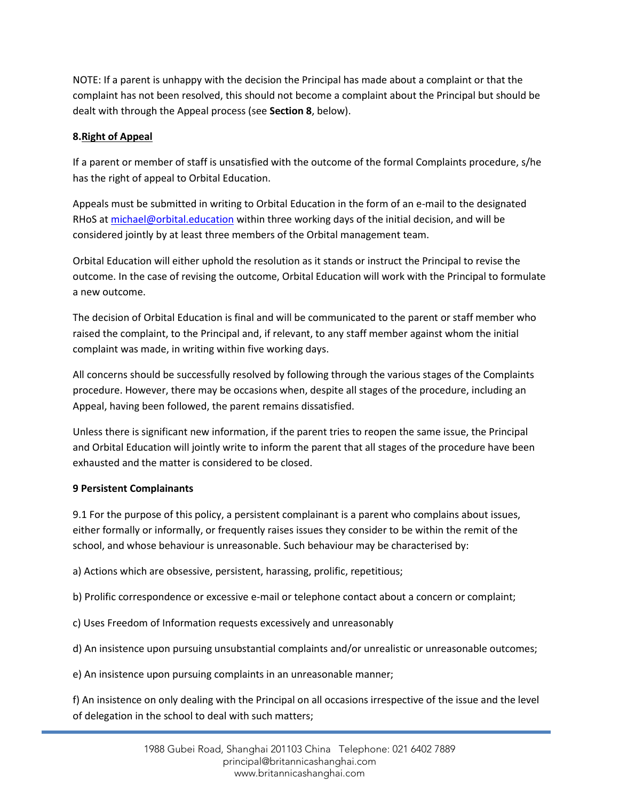NOTE: If a parent is unhappy with the decision the Principal has made about a complaint or that the complaint has not been resolved, this should not become a complaint about the Principal but should be dealt with through the Appeal process (see **Section 8**, below).

# **8.Right of Appeal**

If a parent or member of staff is unsatisfied with the outcome of the formal Complaints procedure, s/he has the right of appeal to Orbital Education.

Appeals must be submitted in writing to Orbital Education in the form of an e-mail to the designated RHoS a[t michael@orbital.education](mailto:michael@orbital.education) within three working days of the initial decision, and will be considered jointly by at least three members of the Orbital management team.

Orbital Education will either uphold the resolution as it stands or instruct the Principal to revise the outcome. In the case of revising the outcome, Orbital Education will work with the Principal to formulate a new outcome.

The decision of Orbital Education is final and will be communicated to the parent or staff member who raised the complaint, to the Principal and, if relevant, to any staff member against whom the initial complaint was made, in writing within five working days.

All concerns should be successfully resolved by following through the various stages of the Complaints procedure. However, there may be occasions when, despite all stages of the procedure, including an Appeal, having been followed, the parent remains dissatisfied.

Unless there is significant new information, if the parent tries to reopen the same issue, the Principal and Orbital Education will jointly write to inform the parent that all stages of the procedure have been exhausted and the matter is considered to be closed.

# **9 Persistent Complainants**

9.1 For the purpose of this policy, a persistent complainant is a parent who complains about issues, either formally or informally, or frequently raises issues they consider to be within the remit of the school, and whose behaviour is unreasonable. Such behaviour may be characterised by:

a) Actions which are obsessive, persistent, harassing, prolific, repetitious;

b) Prolific correspondence or excessive e-mail or telephone contact about a concern or complaint;

c) Uses Freedom of Information requests excessively and unreasonably

d) An insistence upon pursuing unsubstantial complaints and/or unrealistic or unreasonable outcomes;

e) An insistence upon pursuing complaints in an unreasonable manner;

f) An insistence on only dealing with the Principal on all occasions irrespective of the issue and the level of delegation in the school to deal with such matters;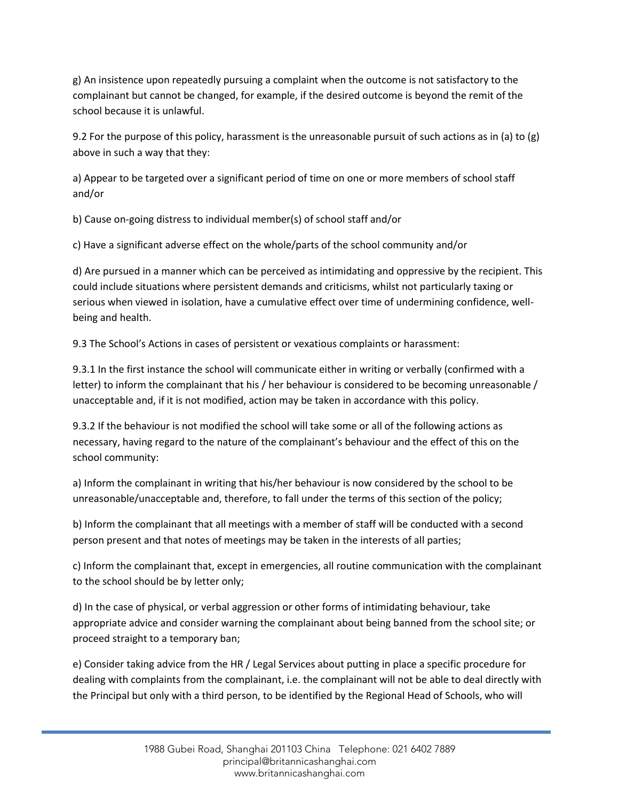g) An insistence upon repeatedly pursuing a complaint when the outcome is not satisfactory to the complainant but cannot be changed, for example, if the desired outcome is beyond the remit of the school because it is unlawful.

9.2 For the purpose of this policy, harassment is the unreasonable pursuit of such actions as in (a) to (g) above in such a way that they:

a) Appear to be targeted over a significant period of time on one or more members of school staff and/or

b) Cause on-going distress to individual member(s) of school staff and/or

c) Have a significant adverse effect on the whole/parts of the school community and/or

d) Are pursued in a manner which can be perceived as intimidating and oppressive by the recipient. This could include situations where persistent demands and criticisms, whilst not particularly taxing or serious when viewed in isolation, have a cumulative effect over time of undermining confidence, wellbeing and health.

9.3 The School's Actions in cases of persistent or vexatious complaints or harassment:

9.3.1 In the first instance the school will communicate either in writing or verbally (confirmed with a letter) to inform the complainant that his / her behaviour is considered to be becoming unreasonable / unacceptable and, if it is not modified, action may be taken in accordance with this policy.

9.3.2 If the behaviour is not modified the school will take some or all of the following actions as necessary, having regard to the nature of the complainant's behaviour and the effect of this on the school community:

a) Inform the complainant in writing that his/her behaviour is now considered by the school to be unreasonable/unacceptable and, therefore, to fall under the terms of this section of the policy;

b) Inform the complainant that all meetings with a member of staff will be conducted with a second person present and that notes of meetings may be taken in the interests of all parties;

c) Inform the complainant that, except in emergencies, all routine communication with the complainant to the school should be by letter only;

d) In the case of physical, or verbal aggression or other forms of intimidating behaviour, take appropriate advice and consider warning the complainant about being banned from the school site; or proceed straight to a temporary ban;

e) Consider taking advice from the HR / Legal Services about putting in place a specific procedure for dealing with complaints from the complainant, i.e. the complainant will not be able to deal directly with the Principal but only with a third person, to be identified by the Regional Head of Schools, who will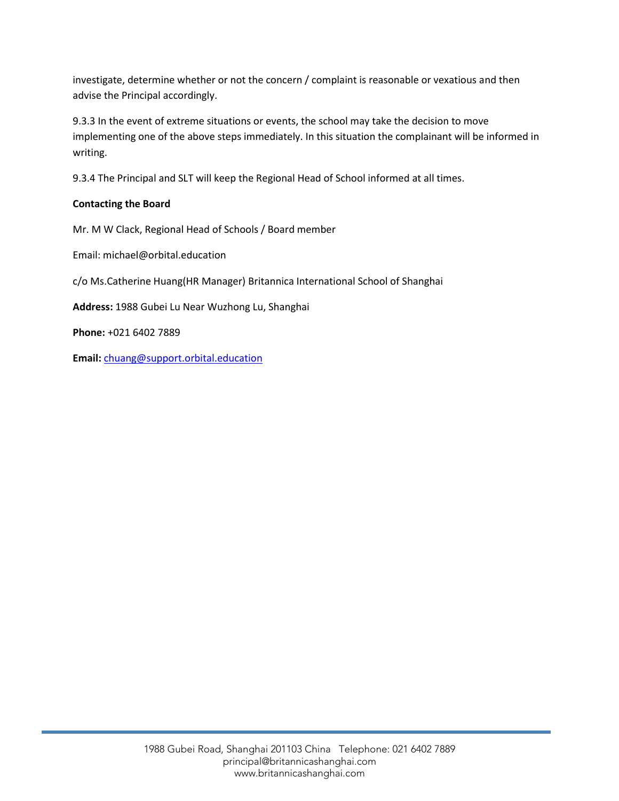investigate, determine whether or not the concern / complaint is reasonable or vexatious and then advise the Principal accordingly.

9.3.3 In the event of extreme situations or events, the school may take the decision to move implementing one of the above steps immediately. In this situation the complainant will be informed in writing.

9.3.4 The Principal and SLT will keep the Regional Head of School informed at all times.

# **Contacting the Board**

Mr. M W Clack, Regional Head of Schools / Board member

Email: michael@orbital.education

c/o Ms.Catherine Huang(HR Manager) Britannica International School of Shanghai

**Address:** 1988 Gubei Lu Near Wuzhong Lu, Shanghai

**Phone:** +021 6402 7889

**Email:** [chuang@support.orbital.education](mailto:chuang@support.orbital.education)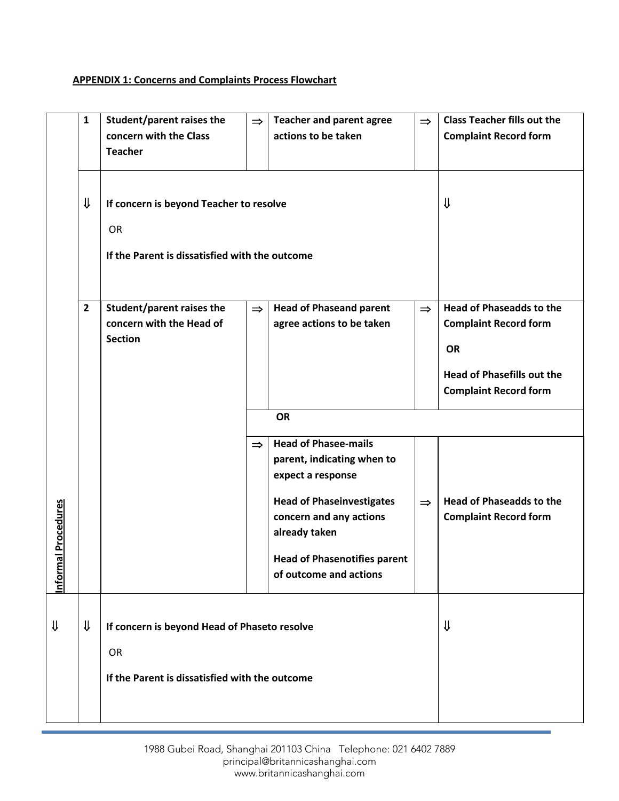# **APPENDIX 1: Concerns and Complaints Process Flowchart**

|                                 | $\mathbf{1}$   | <b>Student/parent raises the</b><br>concern with the Class<br><b>Teacher</b>                           | $\Rightarrow$ | <b>Teacher and parent agree</b><br>actions to be taken                                                                                                                                                                          | $\Rightarrow$ | <b>Class Teacher fills out the</b><br><b>Complaint Record form</b>                                                                                |
|---------------------------------|----------------|--------------------------------------------------------------------------------------------------------|---------------|---------------------------------------------------------------------------------------------------------------------------------------------------------------------------------------------------------------------------------|---------------|---------------------------------------------------------------------------------------------------------------------------------------------------|
|                                 | ⇓              | If concern is beyond Teacher to resolve<br><b>OR</b><br>If the Parent is dissatisfied with the outcome |               |                                                                                                                                                                                                                                 |               | ⇓                                                                                                                                                 |
|                                 | $\overline{2}$ | <b>Student/parent raises the</b><br>concern with the Head of<br><b>Section</b>                         | $\Rightarrow$ | <b>Head of Phaseand parent</b><br>agree actions to be taken                                                                                                                                                                     | $\Rightarrow$ | <b>Head of Phaseadds to the</b><br><b>Complaint Record form</b><br><b>OR</b><br><b>Head of Phasefills out the</b><br><b>Complaint Record form</b> |
|                                 |                |                                                                                                        |               | <b>OR</b>                                                                                                                                                                                                                       |               |                                                                                                                                                   |
| al Procedures<br><u>Informa</u> |                |                                                                                                        | $\Rightarrow$ | <b>Head of Phasee-mails</b><br>parent, indicating when to<br>expect a response<br><b>Head of Phaseinvestigates</b><br>concern and any actions<br>already taken<br><b>Head of Phasenotifies parent</b><br>of outcome and actions | $\Rightarrow$ | <b>Head of Phaseadds to the</b><br><b>Complaint Record form</b>                                                                                   |
| ⇓                               | ⇓              | If concern is beyond Head of Phaseto resolve                                                           |               |                                                                                                                                                                                                                                 |               | ⇓                                                                                                                                                 |
|                                 |                | <b>OR</b><br>If the Parent is dissatisfied with the outcome                                            |               |                                                                                                                                                                                                                                 |               |                                                                                                                                                   |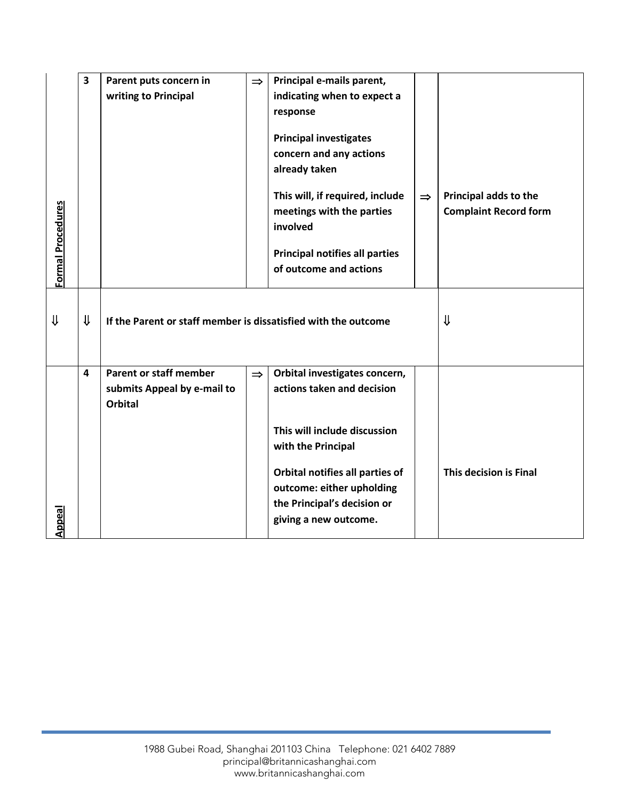|                          | 3            | Parent puts concern in                                         | $\Rightarrow$ | Principal e-mails parent,             |               |                              |
|--------------------------|--------------|----------------------------------------------------------------|---------------|---------------------------------------|---------------|------------------------------|
|                          |              | writing to Principal                                           |               | indicating when to expect a           |               |                              |
|                          |              |                                                                |               | response                              |               |                              |
|                          |              |                                                                |               |                                       |               |                              |
|                          |              |                                                                |               | <b>Principal investigates</b>         |               |                              |
|                          |              |                                                                |               | concern and any actions               |               |                              |
|                          |              |                                                                |               | already taken                         |               |                              |
|                          |              |                                                                |               |                                       |               |                              |
|                          |              |                                                                |               | This will, if required, include       | $\Rightarrow$ | Principal adds to the        |
|                          |              |                                                                |               | meetings with the parties             |               | <b>Complaint Record form</b> |
|                          |              |                                                                |               | involved                              |               |                              |
|                          |              |                                                                |               |                                       |               |                              |
|                          |              |                                                                |               | <b>Principal notifies all parties</b> |               |                              |
| <b>Formal Procedures</b> |              |                                                                |               | of outcome and actions                |               |                              |
|                          |              |                                                                |               |                                       |               |                              |
|                          |              |                                                                |               |                                       |               |                              |
| ⇓                        | $\downarrow$ | If the Parent or staff member is dissatisfied with the outcome |               |                                       |               | ⇓                            |
|                          |              |                                                                |               |                                       |               |                              |
|                          |              |                                                                |               |                                       |               |                              |
|                          | 4            | <b>Parent or staff member</b>                                  | $\Rightarrow$ | Orbital investigates concern,         |               |                              |
|                          |              | submits Appeal by e-mail to                                    |               | actions taken and decision            |               |                              |
|                          |              | <b>Orbital</b>                                                 |               |                                       |               |                              |
|                          |              |                                                                |               |                                       |               |                              |
|                          |              |                                                                |               | This will include discussion          |               |                              |
|                          |              |                                                                |               | with the Principal                    |               |                              |
|                          |              |                                                                |               |                                       |               |                              |
|                          |              |                                                                |               | Orbital notifies all parties of       |               | This decision is Final       |
|                          |              |                                                                |               | outcome: either upholding             |               |                              |
|                          |              |                                                                |               | the Principal's decision or           |               |                              |
| Appeal                   |              |                                                                |               | giving a new outcome.                 |               |                              |
|                          |              |                                                                |               |                                       |               |                              |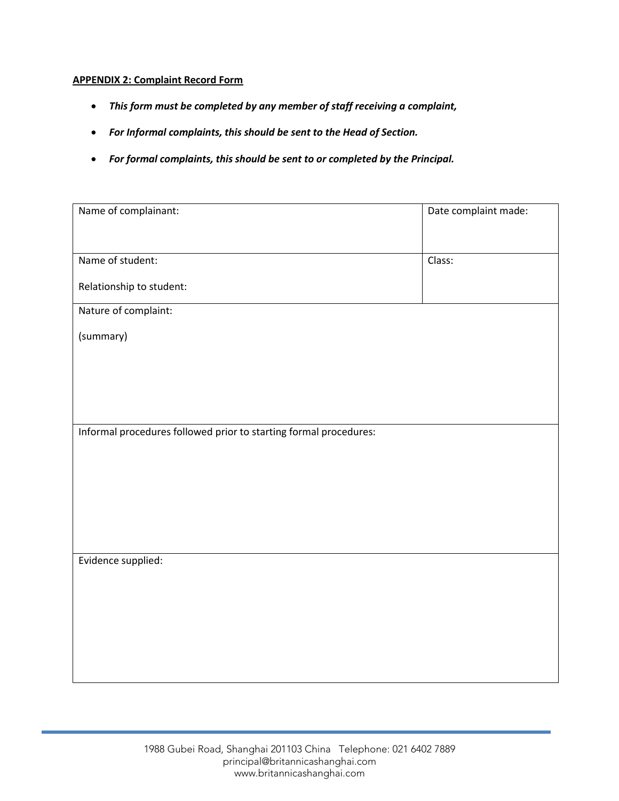#### **APPENDIX 2: Complaint Record Form**

- *This form must be completed by any member of staff receiving a complaint,*
- *For Informal complaints, this should be sent to the Head of Section.*
- *For formal complaints, this should be sent to or completed by the Principal.*

| Name of complainant:                                              | Date complaint made: |
|-------------------------------------------------------------------|----------------------|
|                                                                   |                      |
| Name of student:                                                  | Class:               |
| Relationship to student:                                          |                      |
| Nature of complaint:                                              |                      |
| (summary)                                                         |                      |
|                                                                   |                      |
|                                                                   |                      |
|                                                                   |                      |
| Informal procedures followed prior to starting formal procedures: |                      |
|                                                                   |                      |
|                                                                   |                      |
|                                                                   |                      |
|                                                                   |                      |
|                                                                   |                      |
| Evidence supplied:                                                |                      |
|                                                                   |                      |
|                                                                   |                      |
|                                                                   |                      |
|                                                                   |                      |
|                                                                   |                      |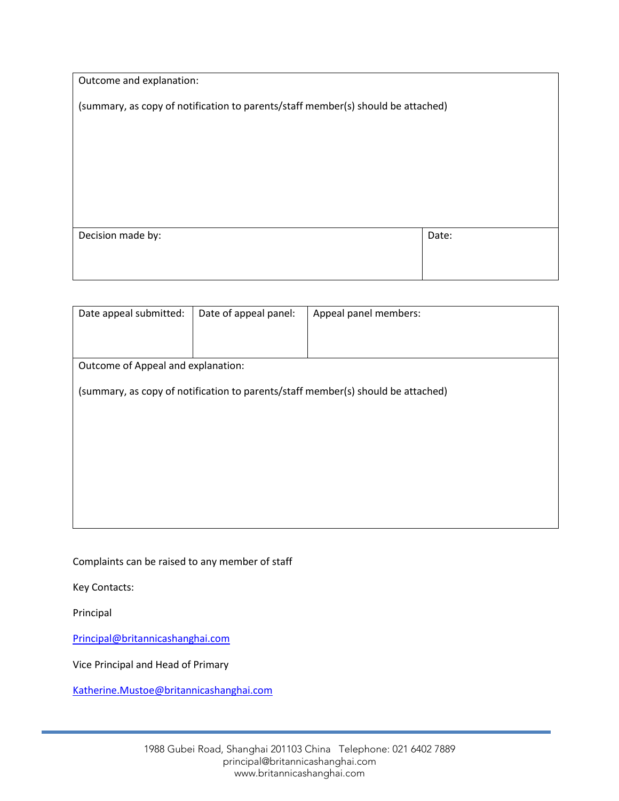| Outcome and explanation:                                                         |       |  |  |  |
|----------------------------------------------------------------------------------|-------|--|--|--|
| (summary, as copy of notification to parents/staff member(s) should be attached) |       |  |  |  |
|                                                                                  |       |  |  |  |
|                                                                                  |       |  |  |  |
|                                                                                  |       |  |  |  |
|                                                                                  |       |  |  |  |
|                                                                                  |       |  |  |  |
| Decision made by:                                                                | Date: |  |  |  |
|                                                                                  |       |  |  |  |
|                                                                                  |       |  |  |  |

| Date appeal submitted:                                                           | Date of appeal panel: | Appeal panel members: |  |  |  |  |  |  |
|----------------------------------------------------------------------------------|-----------------------|-----------------------|--|--|--|--|--|--|
|                                                                                  |                       |                       |  |  |  |  |  |  |
|                                                                                  |                       |                       |  |  |  |  |  |  |
| Outcome of Appeal and explanation:                                               |                       |                       |  |  |  |  |  |  |
|                                                                                  |                       |                       |  |  |  |  |  |  |
| (summary, as copy of notification to parents/staff member(s) should be attached) |                       |                       |  |  |  |  |  |  |
|                                                                                  |                       |                       |  |  |  |  |  |  |
|                                                                                  |                       |                       |  |  |  |  |  |  |
|                                                                                  |                       |                       |  |  |  |  |  |  |
|                                                                                  |                       |                       |  |  |  |  |  |  |
|                                                                                  |                       |                       |  |  |  |  |  |  |
|                                                                                  |                       |                       |  |  |  |  |  |  |
|                                                                                  |                       |                       |  |  |  |  |  |  |

Complaints can be raised to any member of staff

Key Contacts:

Principal

[Principal@britannicashanghai.com](mailto:Principal@britannicashanghai.com)

Vice Principal and Head of Primary

[Katherine.Mustoe@britannicashanghai.com](mailto:Katherine.Mustoe@britannicashanghai.com)